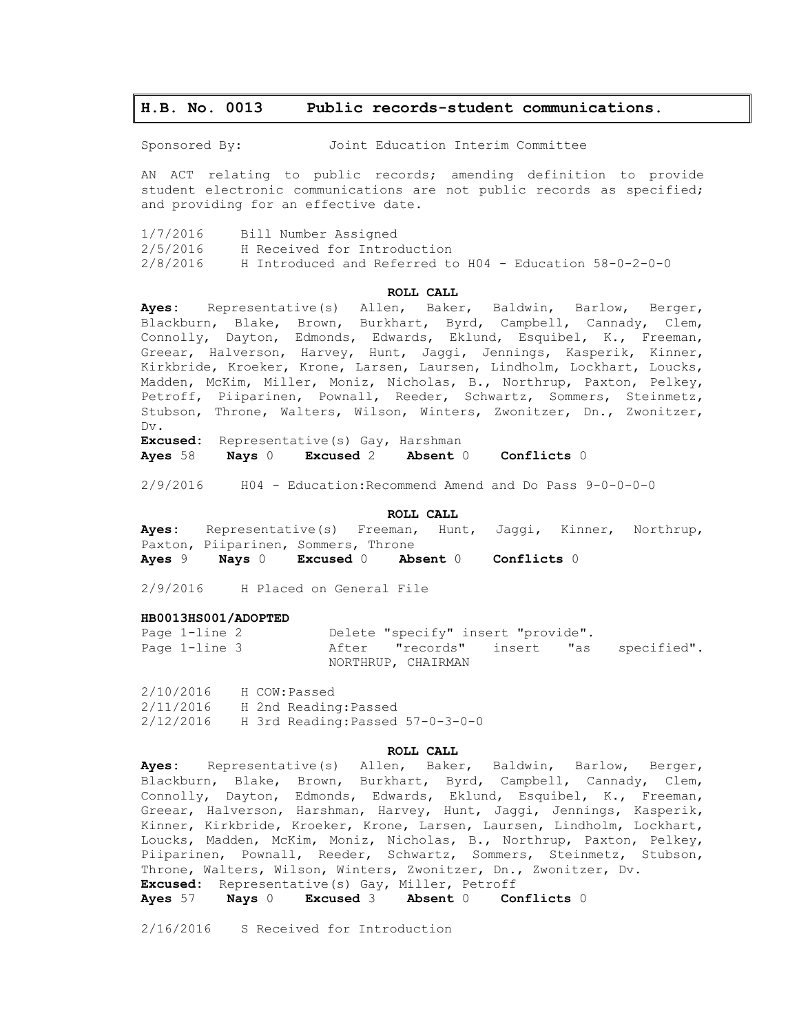# **H.B. No. 0013 Public records-student communications.**

Sponsored By: Joint Education Interim Committee

AN ACT relating to public records; amending definition to provide student electronic communications are not public records as specified; and providing for an effective date.

| 1/7/2016 | Bill Number Assigned                                    |
|----------|---------------------------------------------------------|
| 2/5/2016 | H Received for Introduction                             |
| 2/8/2016 | H Introduced and Referred to H04 - Education 58-0-2-0-0 |

#### **ROLL CALL**

**Ayes:** Representative(s) Allen, Baker, Baldwin, Barlow, Berger, Blackburn, Blake, Brown, Burkhart, Byrd, Campbell, Cannady, Clem, Connolly, Dayton, Edmonds, Edwards, Eklund, Esquibel, K., Freeman, Greear, Halverson, Harvey, Hunt, Jaggi, Jennings, Kasperik, Kinner, Kirkbride, Kroeker, Krone, Larsen, Laursen, Lindholm, Lockhart, Loucks, Madden, McKim, Miller, Moniz, Nicholas, B., Northrup, Paxton, Pelkey, Petroff, Piiparinen, Pownall, Reeder, Schwartz, Sommers, Steinmetz, Stubson, Throne, Walters, Wilson, Winters, Zwonitzer, Dn., Zwonitzer, Dv.

**Excused:** Representative(s) Gay, Harshman **Ayes** 58 **Nays** 0 **Excused** 2 **Absent** 0 **Conflicts** 0

2/9/2016 H04 - Education:Recommend Amend and Do Pass 9-0-0-0-0

#### **ROLL CALL**

**Ayes:** Representative(s) Freeman, Hunt, Jaggi, Kinner, Northrup, Paxton, Piiparinen, Sommers, Throne **Ayes** 9 **Nays** 0 **Excused** 0 **Absent** 0 **Conflicts** 0

2/9/2016 H Placed on General File

#### **HB0013HS001/ADOPTED**

Page 1-line 2 Delete "specify" insert "provide". Page 1-line 3 After "records" insert "as specified". NORTHRUP, CHAIRMAN

2/10/2016 H COW:Passed 2/11/2016 H 2nd Reading:Passed 2/12/2016 H 3rd Reading:Passed 57-0-3-0-0

#### **ROLL CALL**

**Ayes:** Representative(s) Allen, Baker, Baldwin, Barlow, Berger, Blackburn, Blake, Brown, Burkhart, Byrd, Campbell, Cannady, Clem, Connolly, Dayton, Edmonds, Edwards, Eklund, Esquibel, K., Freeman, Greear, Halverson, Harshman, Harvey, Hunt, Jaggi, Jennings, Kasperik, Kinner, Kirkbride, Kroeker, Krone, Larsen, Laursen, Lindholm, Lockhart, Loucks, Madden, McKim, Moniz, Nicholas, B., Northrup, Paxton, Pelkey, Piiparinen, Pownall, Reeder, Schwartz, Sommers, Steinmetz, Stubson, Throne, Walters, Wilson, Winters, Zwonitzer, Dn., Zwonitzer, Dv. **Excused:** Representative(s) Gay, Miller, Petroff

**Ayes** 57 **Nays** 0 **Excused** 3 **Absent** 0 **Conflicts** 0

2/16/2016 S Received for Introduction